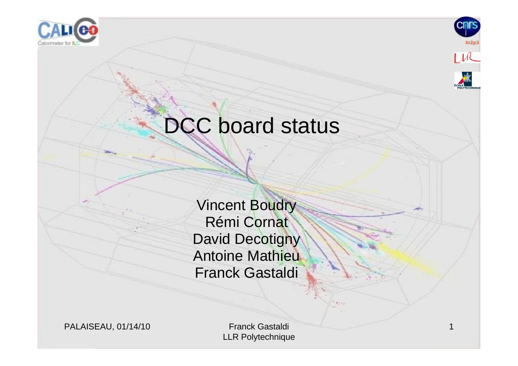



**Cnrs** 

1

## DCC board status

Vincent Boudry Rémi Cornat David Decotigny Antoine Mathieu Franck Gastaldi

PALAISEAU, 01/14/10 Franck Gastaldi

LLR Polytechnique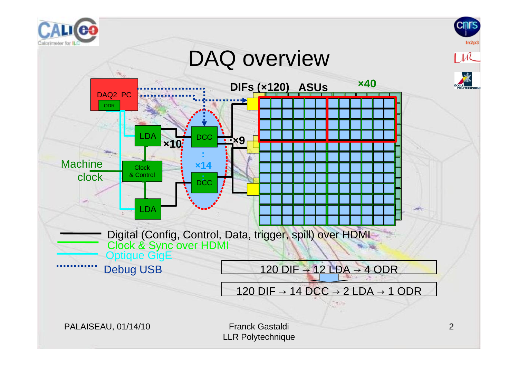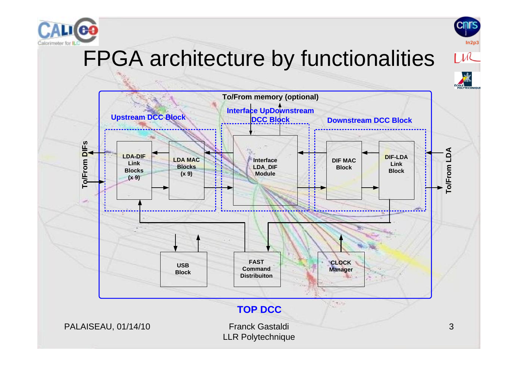

### FPGA architecture by functionalities

**Cnrs** 

 $LML$ 

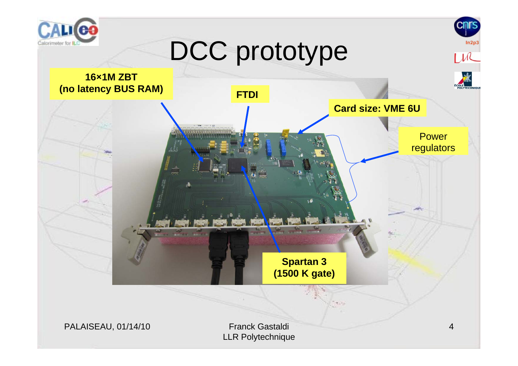# DCC prototype



PALAISEAU, 01/14/10 Franck Gastaldi

alorimeter for IL

LLR Polytechnique

**Cnrs**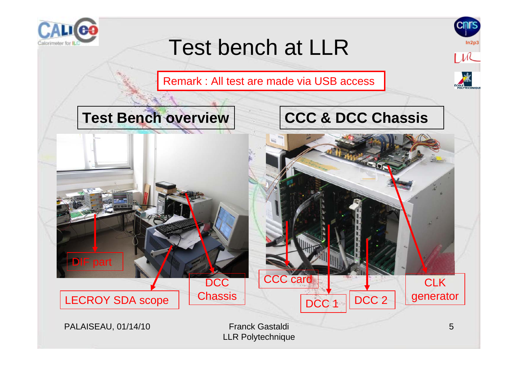

#### Test bench at LLR

Remark : All test are made via USB access

#### **Test Bench overview**

#### **CCC & DCC Chassis**

**CNTS** 

 $\mathsf{L}$ 

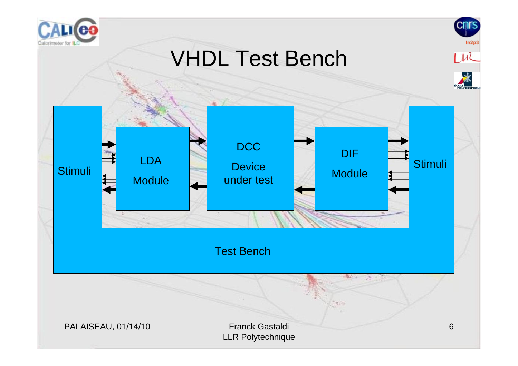

#### VHDL Test Bench



PALAISEAU, 01/14/10 Franck Gastaldi

LLR Polytechnique

**Cnrs** 

 $1\mu$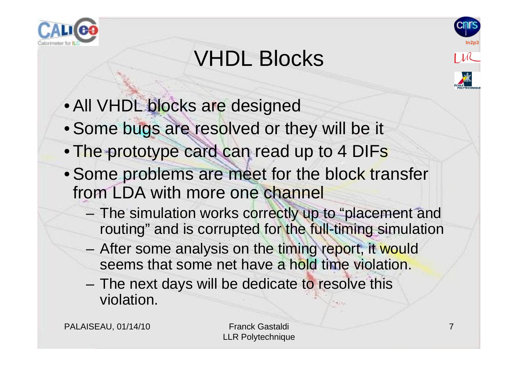

## VHDL Blocks

- All VHDL blocks are designed
- Some bugs are resolved or they will be it
- The prototype card can read up to 4 DIFs
- Some problems are meet for the block transfer from LDA with more one channel
	- The simulation works correctly up to "placement and routing" and is corrupted for the full-timing simulation
	- After some analysis on the timing report, it would seems that some net have a hold time violation.
	- The next days will be dedicate to resolve this violation.

PALAISEAU, 01/14/10 Franck Gastaldi

LLR Polytechnique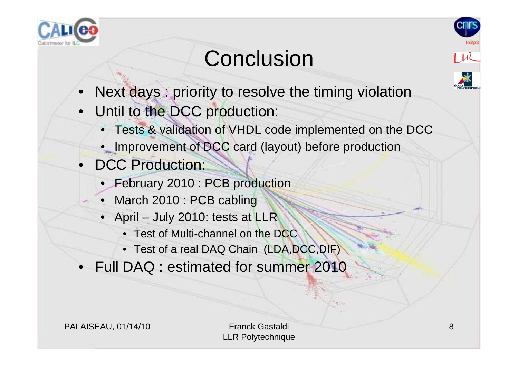

## **Conclusion**

- Next days : priority to resolve the timing violation
- Until to the DCC production:
	- Tests & validation of VHDL code implemented on the DCC
	- Improvement of DCC card (layout) before production
	- DCC Production:
		- February 2010 : PCB production
		- March 2010 : PCB cabling
		- April July 2010: tests at LLR
			- Test of Multi-channel on the DCC
			- Test of a real DAQ Chain (LDA, DCC, DIF)
- Full DAQ : estimated for summer 2010

LLR Polytechnique

**CNTS**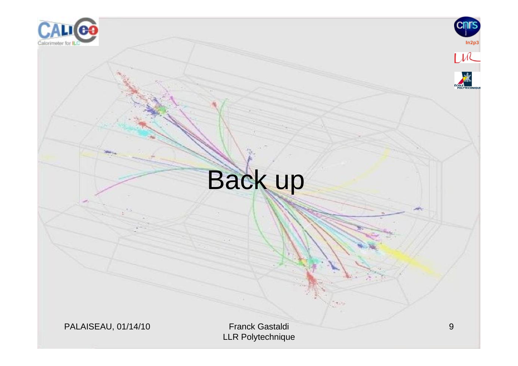





# Back up

PALAISEAU, 01/14/10 Franck Gastaldi

LLR Polytechnique

9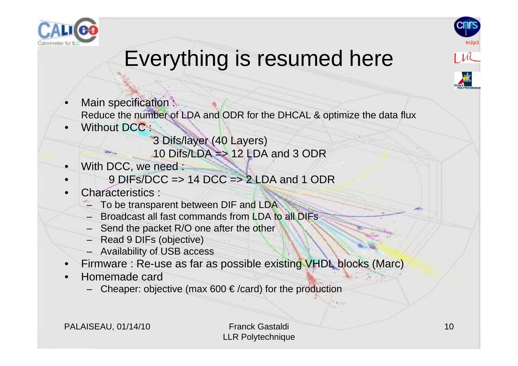



### Everything is resumed here

- Main specification : Reduce the number of LDA and ODR for the DHCAL & optimize the data flux
- Without DCC:
	- 3 Difs/layer (40 Layers)
	- 10 Difs/LDA => 12 LDA and 3 ODR
- With DCC, we need :
- 9 DIFs/DCC => 14 DCC => 2 LDA and 1 ODR
- Characteristics :
	- To be transparent between DIF and LDA
	- Broadcast all fast commands from LDA to all DIFs
	- Send the packet R/O one after the other
	- Read 9 DIFs (objective)
	- Availability of USB access
- Firmware : Re-use as far as possible existing VHDL blocks (Marc)
- Homemade card
	- Cheaper: objective (max 600  $\in$ /card) for the production

PALAISEAU, 01/14/10 Franck Gastaldi

LLR Polytechnique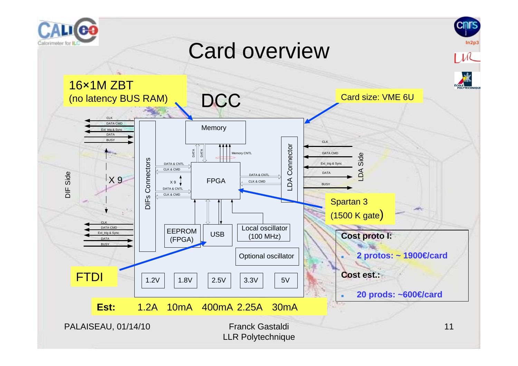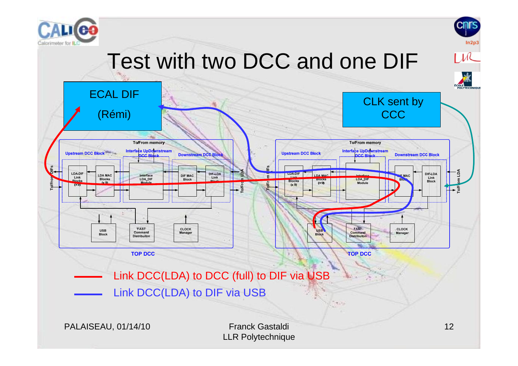

**To/ From DIFs**



#### Link DCC(LDA) to DCC (full) to DIF via USB Link DCC(LDA) to DIF via USB

PALAISEAU, 01/14/10 Franck Gastaldi

LLR Polytechnique